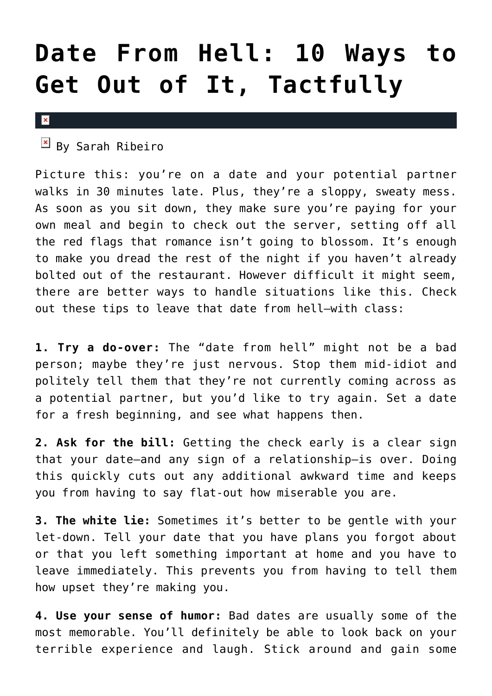## **[Date From Hell: 10 Ways to](https://cupidspulse.com/32213/date-from-hell-bad-date-dating-advice/) [Get Out of It, Tactfully](https://cupidspulse.com/32213/date-from-hell-bad-date-dating-advice/)**

## $\pmb{\times}$

 $\mathbb{E}$  By Sarah Ribeiro

Picture this: you're on a date and your potential partner walks in 30 minutes late. Plus, they're a sloppy, sweaty mess. As soon as you sit down, they make sure you're paying for your own meal and begin to check out the server, setting off all the red flags that romance isn't going to blossom. It's enough to make you dread the rest of the night if you haven't already bolted out of the restaurant. However difficult it might seem, there are better ways to handle situations like this. Check out these tips to leave that date from hell–with class:

**1. Try a do-over:** The "date from hell" might not be a bad person; maybe they're just nervous. Stop them mid-idiot and politely tell them that they're not currently coming across as a potential partner, but you'd like to try again. Set a date for a fresh beginning, and see what happens then.

**2. Ask for the bill:** Getting the check early is a clear sign that your date–and any sign of a relationship–is over. Doing this quickly cuts out any additional awkward time and keeps you from having to say flat-out how miserable you are.

**3. The white lie:** Sometimes it's better to be gentle with your let-down. Tell your date that you have plans you forgot about or that you left something important at home and you have to leave immediately. This prevents you from having to tell them how upset they're making you.

**4. Use your sense of humor:** Bad dates are usually some of the most memorable. You'll definitely be able to look back on your terrible experience and laugh. Stick around and gain some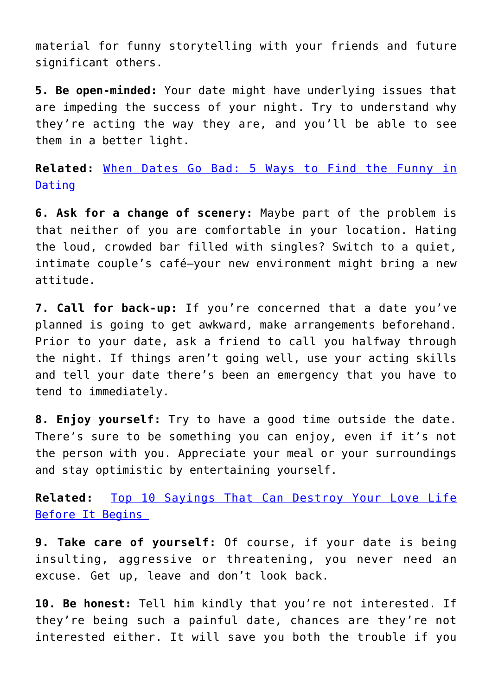material for funny storytelling with your friends and future significant others.

**5. Be open-minded:** Your date might have underlying issues that are impeding the success of your night. Try to understand why they're acting the way they are, and you'll be able to see them in a better light.

**Related:** [When Dates Go Bad: 5 Ways to Find the Funny in](http://cupidspulse.com/when-dates-go-bad-tips-enjoy-bad-dates/) [Dating](http://cupidspulse.com/when-dates-go-bad-tips-enjoy-bad-dates/) 

**6. Ask for a change of scenery:** Maybe part of the problem is that neither of you are comfortable in your location. Hating the loud, crowded bar filled with singles? Switch to a quiet, intimate couple's café–your new environment might bring a new attitude.

**7. Call for back-up:** If you're concerned that a date you've planned is going to get awkward, make arrangements beforehand. Prior to your date, ask a friend to call you halfway through the night. If things aren't going well, use your acting skills and tell your date there's been an emergency that you have to tend to immediately.

**8. Enjoy yourself:** Try to have a good time outside the date. There's sure to be something you can enjoy, even if it's not the person with you. Appreciate your meal or your surroundings and stay optimistic by entertaining yourself.

**Related:** [Top 10 Sayings That Can Destroy Your Love Life](http://cupidspulse.com/top-10-sayings-destroy-love-life-before-begins/) [Before It Begins](http://cupidspulse.com/top-10-sayings-destroy-love-life-before-begins/) 

**9. Take care of yourself:** Of course, if your date is being insulting, aggressive or threatening, you never need an excuse. Get up, leave and don't look back.

**10. Be honest:** Tell him kindly that you're not interested. If they're being such a painful date, chances are they're not interested either. It will save you both the trouble if you